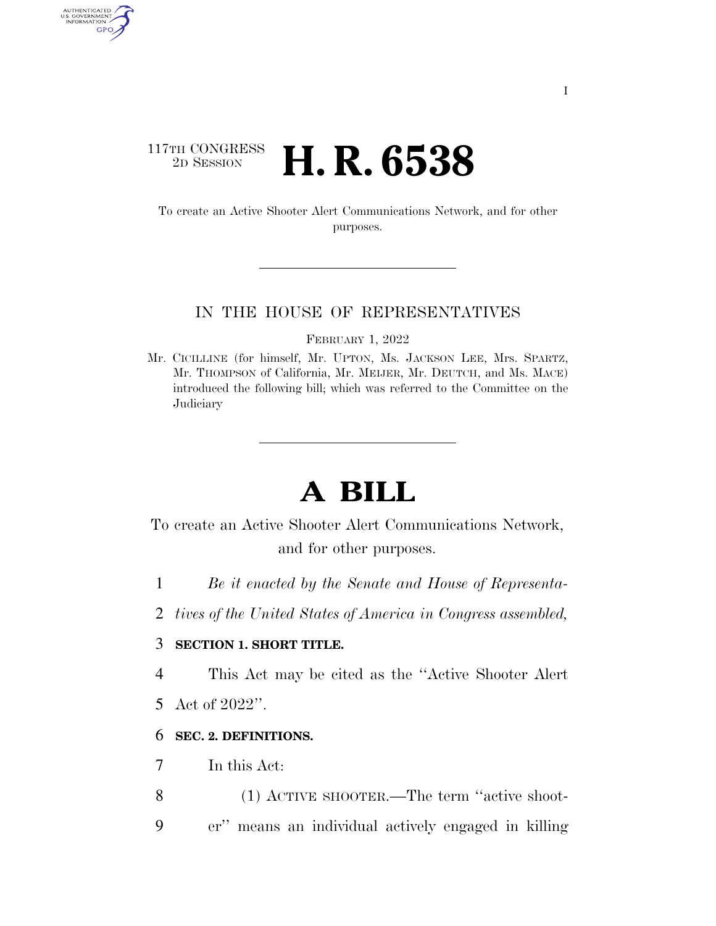## $\begin{array}{c} \text{117TH CONGRESS} \\ \text{2D Session} \end{array}$ 2D SESSION **H. R. 6538**

AUTHENTICATED<br>U.S. GOVERNMENT<br>INFORMATION

GPO

To create an Active Shooter Alert Communications Network, and for other purposes.

#### IN THE HOUSE OF REPRESENTATIVES

FEBRUARY 1, 2022

Mr. CICILLINE (for himself, Mr. UPTON, Ms. JACKSON LEE, Mrs. SPARTZ, Mr. THOMPSON of California, Mr. MEIJER, Mr. DEUTCH, and Ms. MACE) introduced the following bill; which was referred to the Committee on the **Judiciary** 

# **A BILL**

To create an Active Shooter Alert Communications Network, and for other purposes.

- 1 *Be it enacted by the Senate and House of Representa-*
- 2 *tives of the United States of America in Congress assembled,*

## 3 **SECTION 1. SHORT TITLE.**

4 This Act may be cited as the ''Active Shooter Alert

5 Act of 2022''.

#### 6 **SEC. 2. DEFINITIONS.**

- 7 In this Act:
- 8 (1) ACTIVE SHOOTER.—The term ''active shoot-9 er'' means an individual actively engaged in killing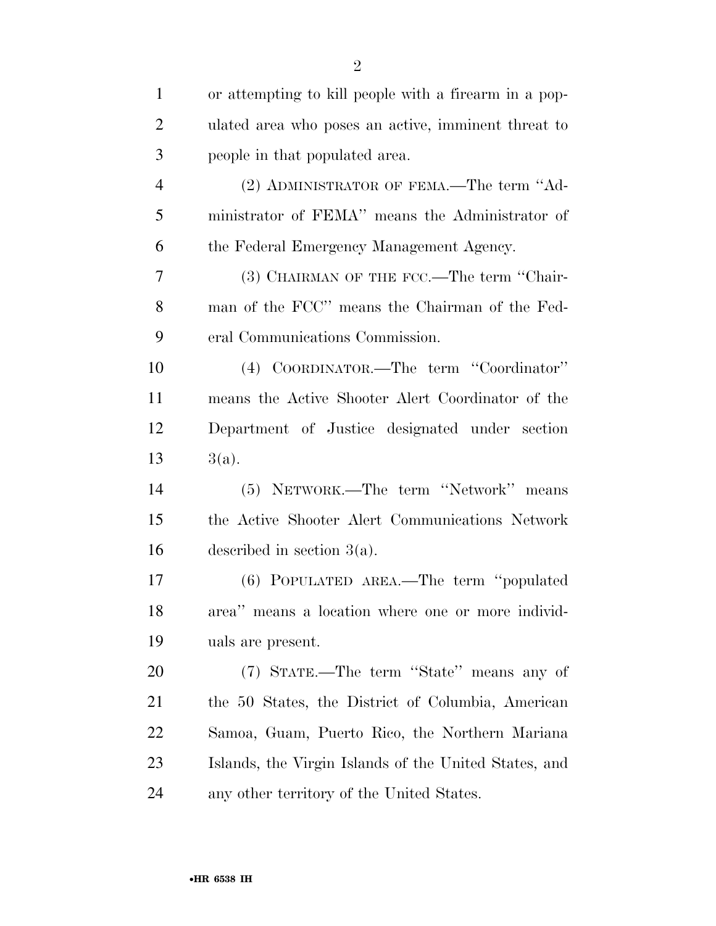| $\mathbf{1}$   | or attempting to kill people with a firearm in a pop- |
|----------------|-------------------------------------------------------|
| $\overline{c}$ | ulated area who poses an active, imminent threat to   |
| 3              | people in that populated area.                        |
| $\overline{4}$ | (2) ADMINISTRATOR OF FEMA.—The term "Ad-              |
| 5              | ministrator of FEMA" means the Administrator of       |
| 6              | the Federal Emergency Management Agency.              |
| 7              | (3) CHAIRMAN OF THE FCC.—The term "Chair-             |
| 8              | man of the FCC" means the Chairman of the Fed-        |
| 9              | eral Communications Commission.                       |
| 10             | (4) COORDINATOR.—The term "Coordinator"               |
| 11             | means the Active Shooter Alert Coordinator of the     |
| 12             | Department of Justice designated under section        |
| 13             | $3(a)$ .                                              |
| 14             | (5) NETWORK.—The term "Network" means                 |
| 15             | the Active Shooter Alert Communications Network       |
| 16             | described in section $3(a)$ .                         |
| 17             | (6) POPULATED AREA.—The term "populated               |
| 18             | area" means a location where one or more individ-     |
| 19             | uals are present.                                     |
| 20             | (7) STATE.—The term "State" means any of              |
| 21             | the 50 States, the District of Columbia, American     |
| 22             | Samoa, Guam, Puerto Rico, the Northern Mariana        |
| 23             | Islands, the Virgin Islands of the United States, and |
| 24             | any other territory of the United States.             |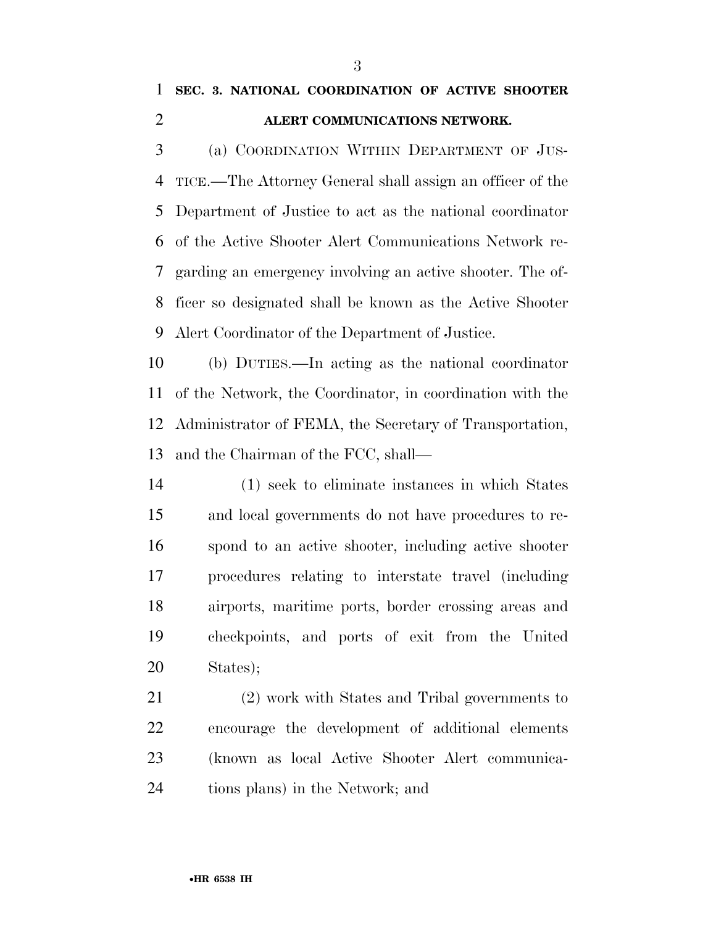# **SEC. 3. NATIONAL COORDINATION OF ACTIVE SHOOTER ALERT COMMUNICATIONS NETWORK.**

 (a) COORDINATION WITHIN DEPARTMENT OF JUS- TICE.—The Attorney General shall assign an officer of the Department of Justice to act as the national coordinator of the Active Shooter Alert Communications Network re- garding an emergency involving an active shooter. The of- ficer so designated shall be known as the Active Shooter Alert Coordinator of the Department of Justice.

 (b) DUTIES.—In acting as the national coordinator of the Network, the Coordinator, in coordination with the Administrator of FEMA, the Secretary of Transportation, and the Chairman of the FCC, shall—

 (1) seek to eliminate instances in which States and local governments do not have procedures to re- spond to an active shooter, including active shooter procedures relating to interstate travel (including airports, maritime ports, border crossing areas and checkpoints, and ports of exit from the United States);

 (2) work with States and Tribal governments to encourage the development of additional elements (known as local Active Shooter Alert communica-tions plans) in the Network; and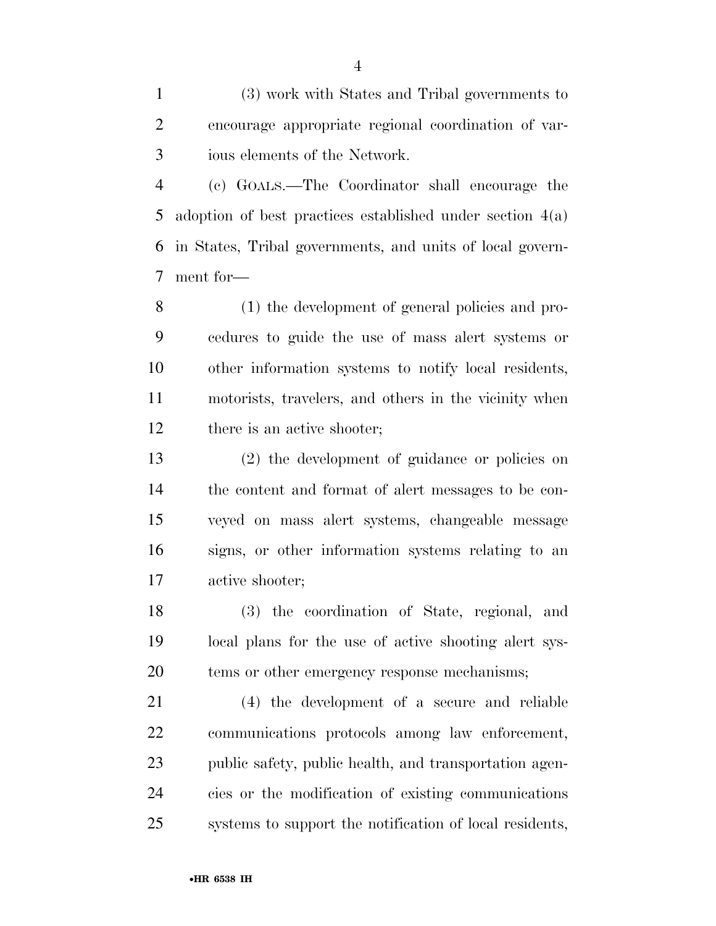(3) work with States and Tribal governments to encourage appropriate regional coordination of var-ious elements of the Network.

 (c) GOALS.—The Coordinator shall encourage the adoption of best practices established under section 4(a) in States, Tribal governments, and units of local govern-ment for—

 (1) the development of general policies and pro- cedures to guide the use of mass alert systems or other information systems to notify local residents, motorists, travelers, and others in the vicinity when 12 there is an active shooter;

 (2) the development of guidance or policies on the content and format of alert messages to be con- veyed on mass alert systems, changeable message signs, or other information systems relating to an active shooter;

 (3) the coordination of State, regional, and local plans for the use of active shooting alert sys-tems or other emergency response mechanisms;

 (4) the development of a secure and reliable communications protocols among law enforcement, public safety, public health, and transportation agen- cies or the modification of existing communications systems to support the notification of local residents,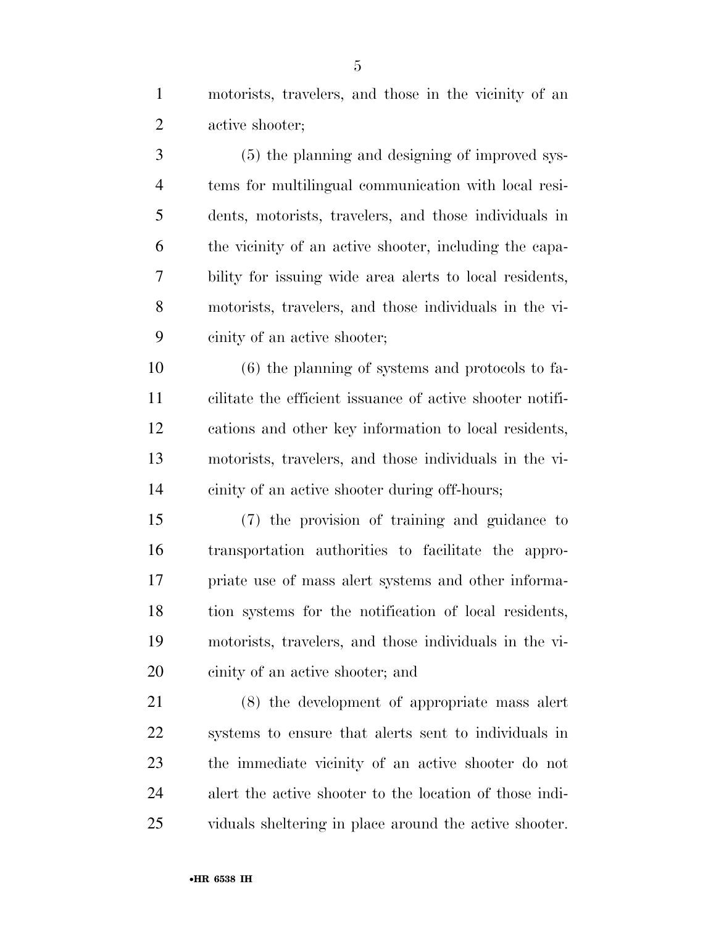motorists, travelers, and those in the vicinity of an active shooter;

 (5) the planning and designing of improved sys- tems for multilingual communication with local resi- dents, motorists, travelers, and those individuals in the vicinity of an active shooter, including the capa- bility for issuing wide area alerts to local residents, motorists, travelers, and those individuals in the vi-cinity of an active shooter;

 (6) the planning of systems and protocols to fa- cilitate the efficient issuance of active shooter notifi- cations and other key information to local residents, motorists, travelers, and those individuals in the vi-cinity of an active shooter during off-hours;

 (7) the provision of training and guidance to transportation authorities to facilitate the appro- priate use of mass alert systems and other informa- tion systems for the notification of local residents, motorists, travelers, and those individuals in the vi-cinity of an active shooter; and

 (8) the development of appropriate mass alert systems to ensure that alerts sent to individuals in the immediate vicinity of an active shooter do not alert the active shooter to the location of those indi-viduals sheltering in place around the active shooter.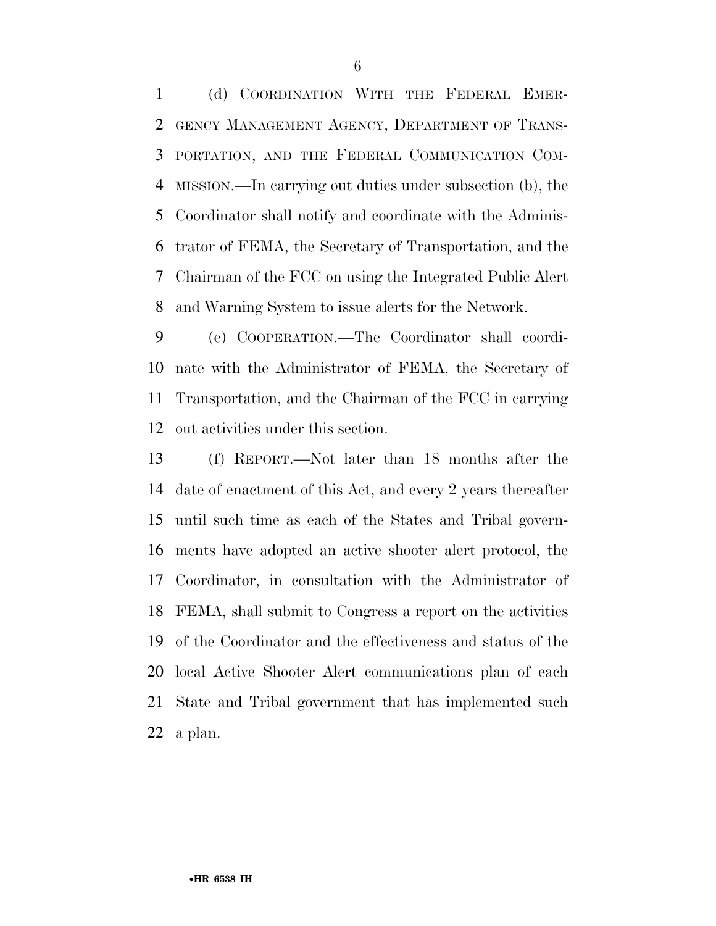(d) COORDINATION WITH THE FEDERAL EMER- GENCY MANAGEMENT AGENCY, DEPARTMENT OF TRANS- PORTATION, AND THE FEDERAL COMMUNICATION COM- MISSION.—In carrying out duties under subsection (b), the Coordinator shall notify and coordinate with the Adminis- trator of FEMA, the Secretary of Transportation, and the Chairman of the FCC on using the Integrated Public Alert and Warning System to issue alerts for the Network.

 (e) COOPERATION.—The Coordinator shall coordi- nate with the Administrator of FEMA, the Secretary of Transportation, and the Chairman of the FCC in carrying out activities under this section.

 (f) REPORT.—Not later than 18 months after the date of enactment of this Act, and every 2 years thereafter until such time as each of the States and Tribal govern- ments have adopted an active shooter alert protocol, the Coordinator, in consultation with the Administrator of FEMA, shall submit to Congress a report on the activities of the Coordinator and the effectiveness and status of the local Active Shooter Alert communications plan of each State and Tribal government that has implemented such a plan.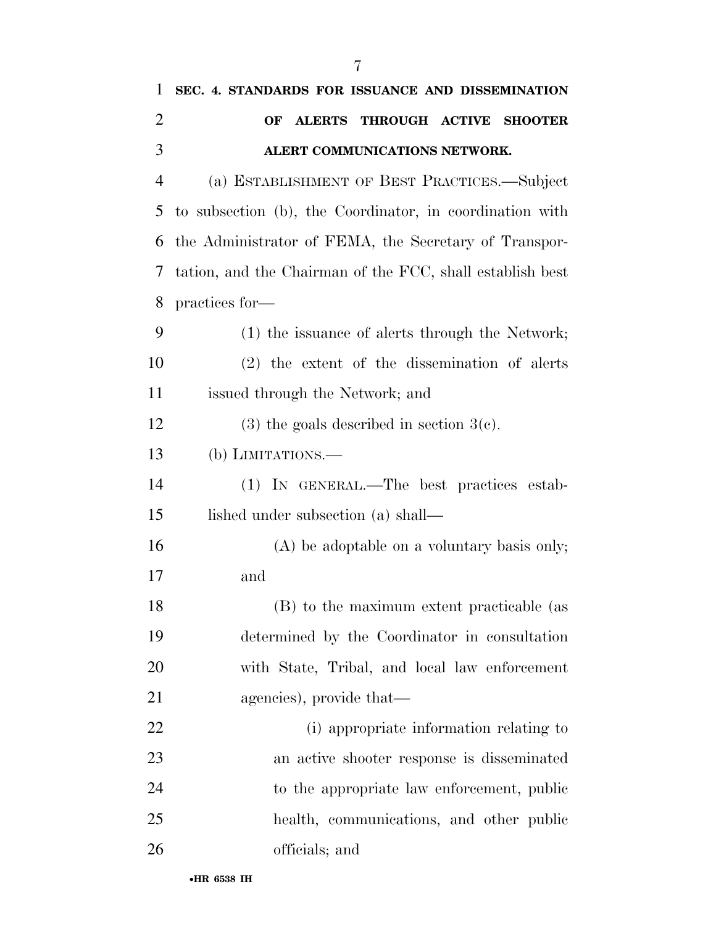| 1              | SEC. 4. STANDARDS FOR ISSUANCE AND DISSEMINATION          |
|----------------|-----------------------------------------------------------|
| $\overline{2}$ | THROUGH ACTIVE SHOOTER<br><b>ALERTS</b><br>OF             |
| 3              | ALERT COMMUNICATIONS NETWORK.                             |
| $\overline{4}$ | (a) ESTABLISHMENT OF BEST PRACTICES.—Subject              |
| 5              | to subsection (b), the Coordinator, in coordination with  |
| 6              | the Administrator of FEMA, the Secretary of Transpor-     |
| 7              | tation, and the Chairman of the FCC, shall establish best |
| 8              | practices for-                                            |
| 9              | (1) the issuance of alerts through the Network;           |
| 10             | $(2)$ the extent of the dissemination of alerts           |
| 11             | issued through the Network; and                           |
| 12             | $(3)$ the goals described in section $3(c)$ .             |
| 13             | $(b)$ LIMITATIONS.—                                       |
| 14             | (1) IN GENERAL.—The best practices estab-                 |
| 15             | lished under subsection (a) shall—                        |
| 16             | (A) be adoptable on a voluntary basis only;               |
| 17             | and                                                       |
| 18             | (B) to the maximum extent practicable (as                 |
| 19             | determined by the Coordinator in consultation             |
| 20             | with State, Tribal, and local law enforcement             |
| 21             | agencies), provide that—                                  |
| 22             | (i) appropriate information relating to                   |
| 23             | an active shooter response is disseminated                |
| 24             | to the appropriate law enforcement, public                |
| 25             | health, communications, and other public                  |
| 26             | officials; and                                            |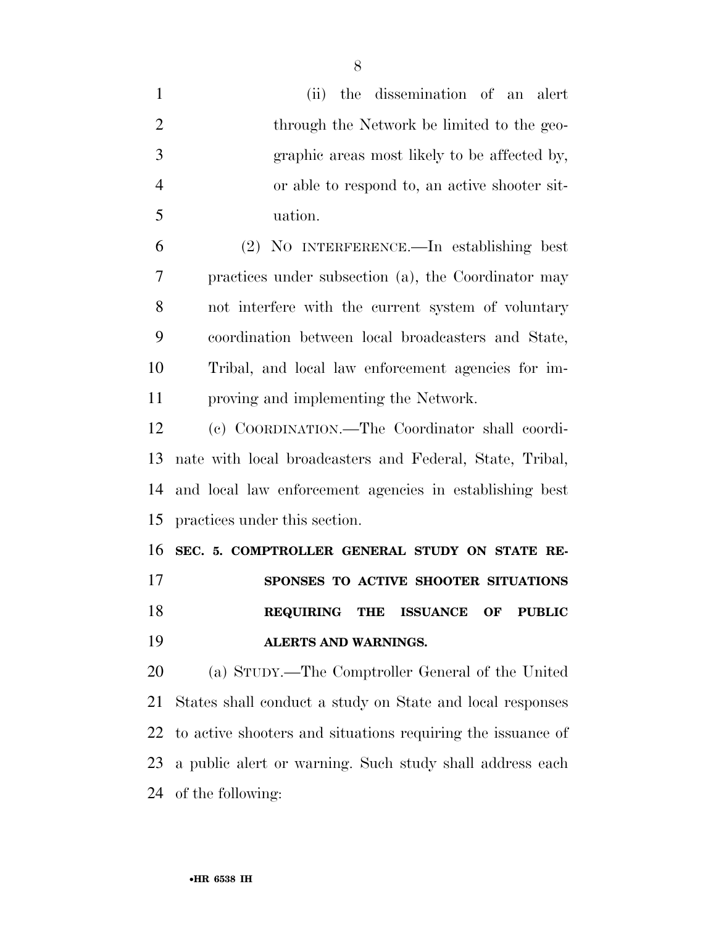| $\mathbf{1}$   | (ii) the dissemination of an alert                          |
|----------------|-------------------------------------------------------------|
| $\overline{2}$ | through the Network be limited to the geo-                  |
| 3              | graphic areas most likely to be affected by,                |
| $\overline{4}$ | or able to respond to, an active shooter sit-               |
| 5              | uation.                                                     |
| 6              | (2) NO INTERFERENCE.—In establishing best                   |
| 7              | practices under subsection (a), the Coordinator may         |
| 8              | not interfere with the current system of voluntary          |
| 9              | coordination between local broadcasters and State,          |
| 10             | Tribal, and local law enforcement agencies for im-          |
| 11             | proving and implementing the Network.                       |
| 12             | (c) COORDINATION.-The Coordinator shall coordi-             |
| 13             | nate with local broadcasters and Federal, State, Tribal,    |
| 14             | and local law enforcement agencies in establishing best     |
| 15             | practices under this section.                               |
| 16             | SEC. 5. COMPTROLLER GENERAL STUDY ON STATE RE-              |
| 17             | SPONSES TO ACTIVE SHOOTER SITUATIONS                        |
| 18             | REQUIRING THE ISSUANCE OF PUBLIC                            |
| 19             | ALERTS AND WARNINGS.                                        |
| 20             | (a) STUDY.—The Comptroller General of the United            |
| 21             | States shall conduct a study on State and local responses   |
| 22             | to active shooters and situations requiring the issuance of |
| 23             | a public alert or warning. Such study shall address each    |
|                | 24 of the following:                                        |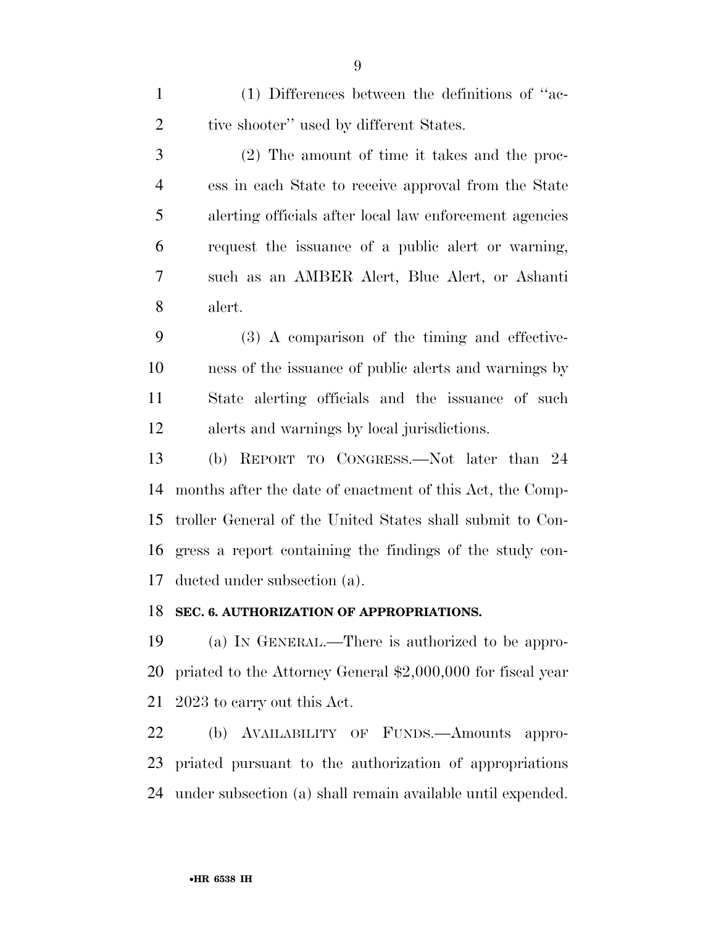(1) Differences between the definitions of ''ac-2 tive shooter'' used by different States.

 (2) The amount of time it takes and the proc- ess in each State to receive approval from the State alerting officials after local law enforcement agencies request the issuance of a public alert or warning, such as an AMBER Alert, Blue Alert, or Ashanti alert.

 (3) A comparison of the timing and effective- ness of the issuance of public alerts and warnings by State alerting officials and the issuance of such alerts and warnings by local jurisdictions.

 (b) REPORT TO CONGRESS.—Not later than 24 months after the date of enactment of this Act, the Comp- troller General of the United States shall submit to Con- gress a report containing the findings of the study con-ducted under subsection (a).

#### **SEC. 6. AUTHORIZATION OF APPROPRIATIONS.**

 (a) IN GENERAL.—There is authorized to be appro- priated to the Attorney General \$2,000,000 for fiscal year 2023 to carry out this Act.

 (b) AVAILABILITY OF FUNDS.—Amounts appro- priated pursuant to the authorization of appropriations under subsection (a) shall remain available until expended.